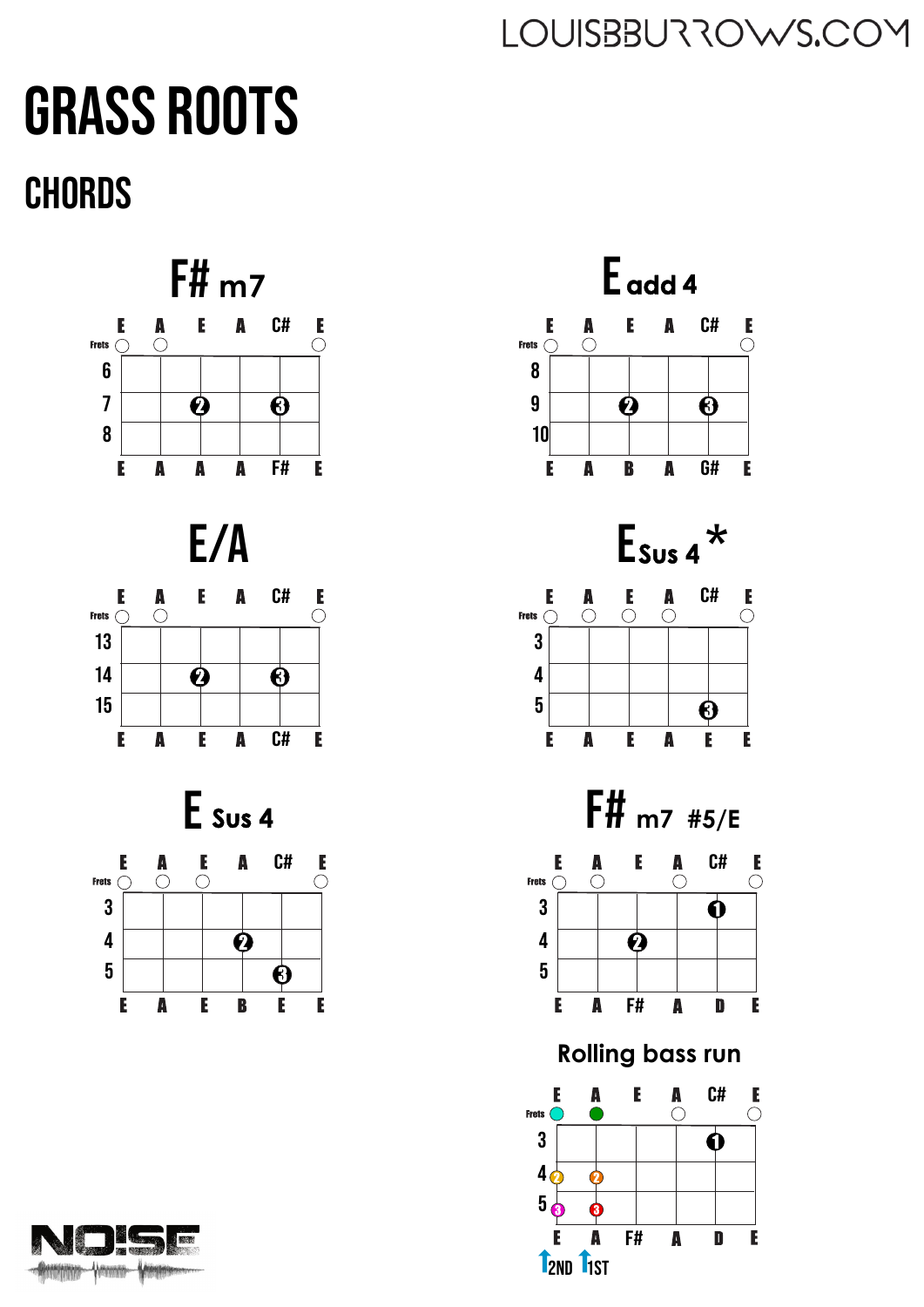## Grass Roots **CHORDS**







**12ND 11ST**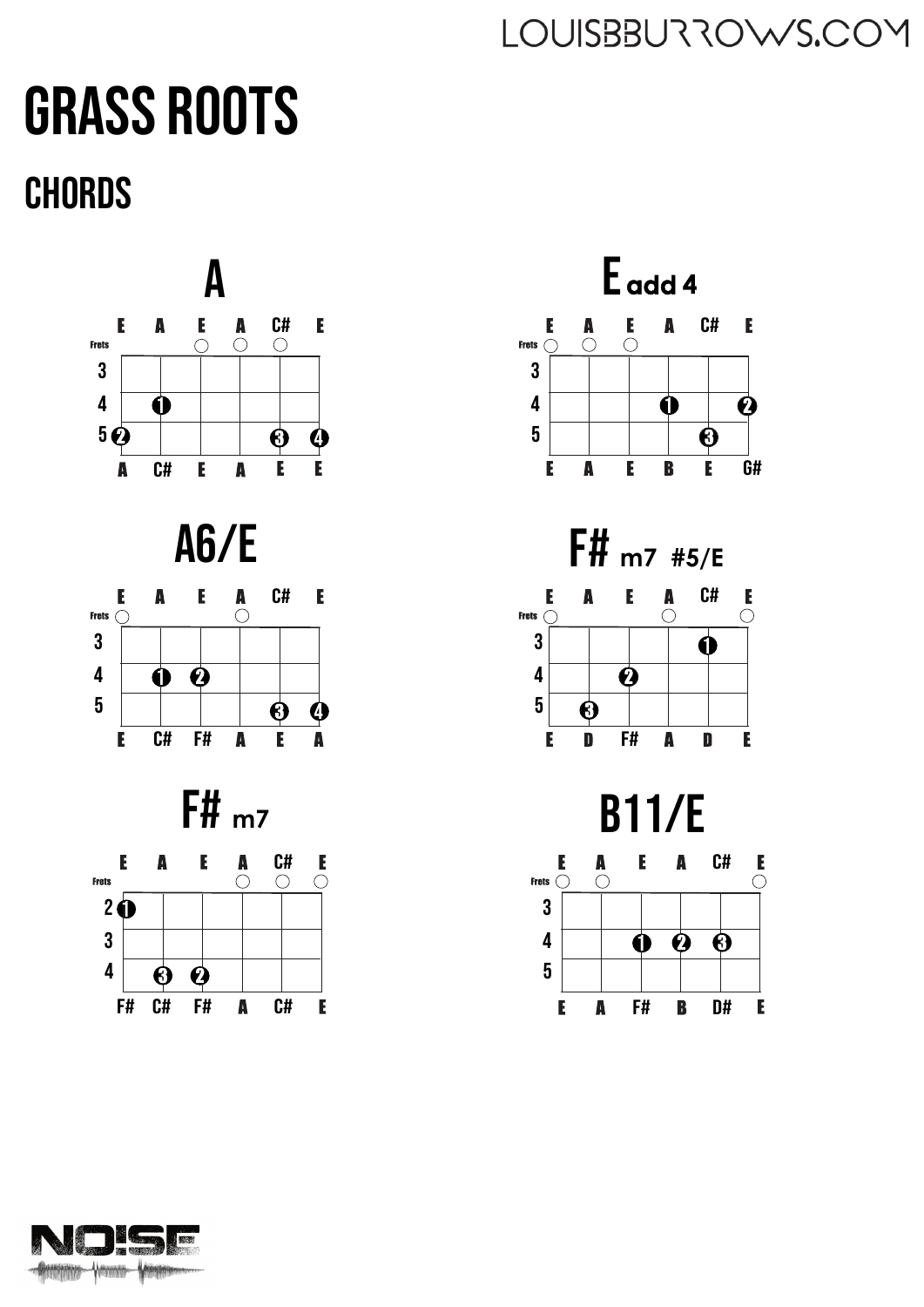## Grass Roots **CHORDS**





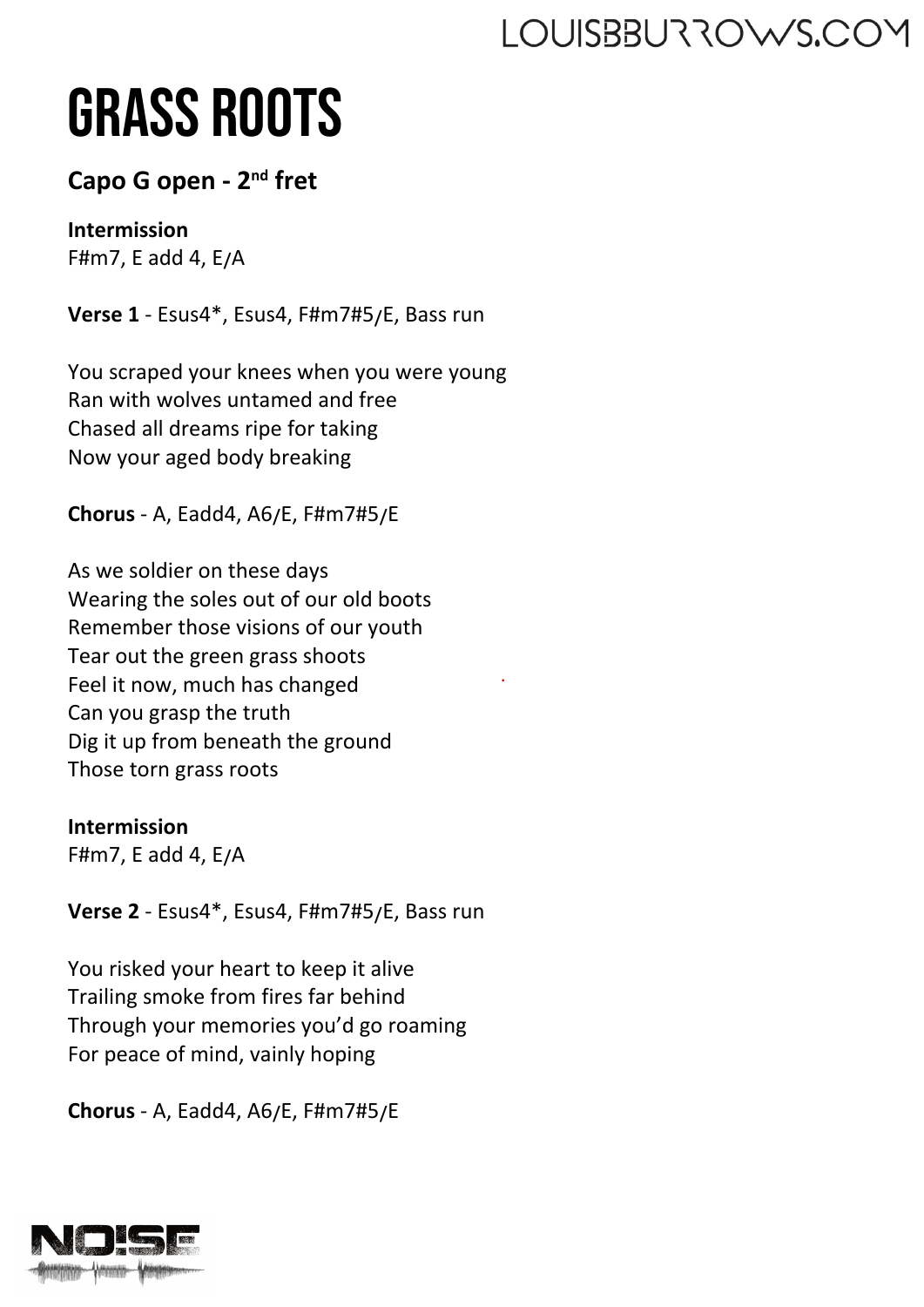# Grass roots

#### **Capo G open - 2nd fret**

#### **Intermission**

F#m7, E add 4,  $E/A$ 

Verse 1 - Esus4\*, Esus4, F#m7#5/E, Bass run

You scraped your knees when you were young Ran with wolves untamed and free Chased all dreams ripe for taking Now your aged body breaking

**Chorus** - A, Eadd4, A6�E, F#m7#5�E

As we soldier on these days Wearing the soles out of our old boots Remember those visions of our youth Tear out the green grass shoots Feel it now, much has changed Can you grasp the truth Dig it up from beneath the ground Those torn grass roots

.

**Intermission**

F#m7, E add 4,  $E/A$ 

**Verse 2** - Esus4\*, Esus4, F#m7#5�E, Bass run

You risked your heart to keep it alive Trailing smoke from fires far behind Through your memories you'd go roaming For peace of mind, vainly hoping

**Chorus** - A, Eadd4, A6�E, F#m7#5�E